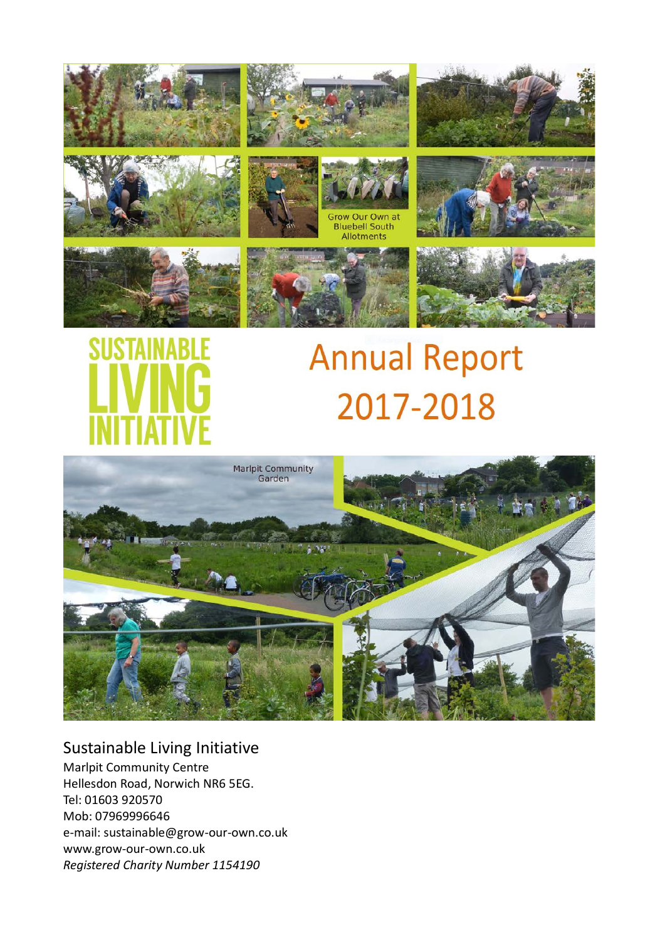



# **Annual Report** 2017-2018



# Sustainable Living Initiative

Marlpit Community Centre Hellesdon Road, Norwich NR6 5EG. Tel: 01603 920570 Mob: 07969996646 e-mail: sustainable@grow-our-own.co.uk www.grow-our-own.co.uk *Registered Charity Number 1154190*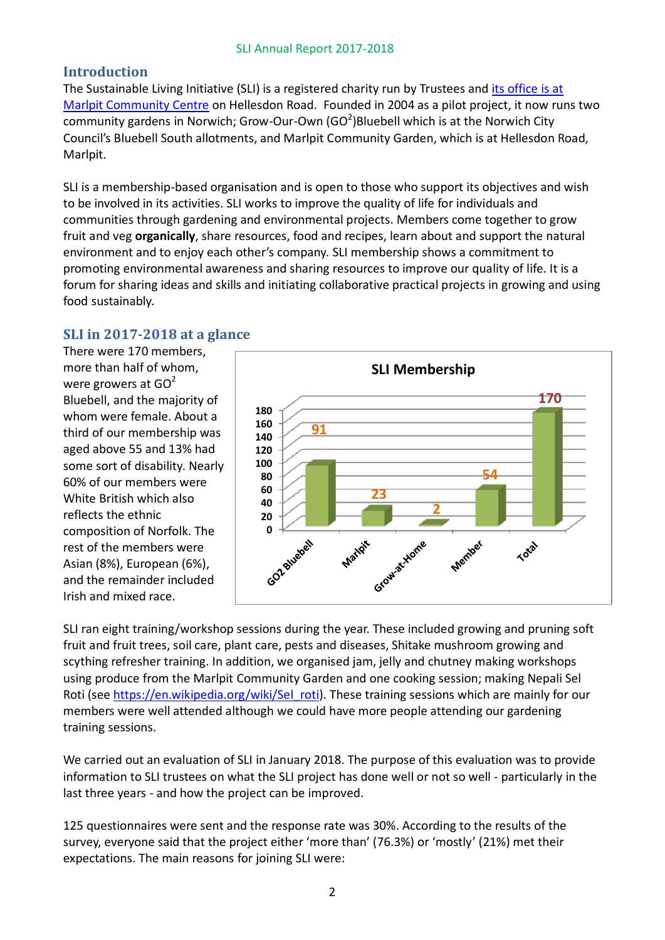# **Introduction**

The Sustainable Living Initiative (SLI) is a registered charity run by Trustees and [its office is at](http://grow-our-own.co.uk/#office)  [Marlpit Community Centre](http://grow-our-own.co.uk/#office) on Hellesdon Road. Founded in 2004 as a pilot project, it now runs two community gardens in Norwich; Grow-Our-Own (GO $2$ )Bluebell which is at the Norwich City Council's Bluebell South allotments, and Marlpit Community Garden, which is at Hellesdon Road, Marlpit.

SLI is a membership-based organisation and is open to those who support its objectives and wish to be involved in its activities. SLI works to improve the quality of life for individuals and communities through gardening and environmental projects. Members come together to grow fruit and veg **organically**, share resources, food and recipes, learn about and support the natural environment and to enjoy each other's company. SLI membership shows a commitment to promoting environmental awareness and sharing resources to improve our quality of life. It is a forum for sharing ideas and skills and initiating collaborative practical projects in growing and using food sustainably.

# **SLI in 2017-2018 at a glance**

There were 170 members, more than half of whom, were growers at  $GO<sup>2</sup>$ Bluebell, and the majority of whom were female. About a third of our membership was aged above 55 and 13% had some sort of disability. Nearly 60% of our members were White British which also reflects the ethnic composition of Norfolk. The rest of the members were Asian (8%), European (6%), and the remainder included Irish and mixed race.



SLI ran eight training/workshop sessions during the year. These included growing and pruning soft fruit and fruit trees, soil care, plant care, pests and diseases, Shitake mushroom growing and scything refresher training. In addition, we organised jam, jelly and chutney making workshops using produce from the Marlpit Community Garden and one cooking session; making Nepali Sel Roti (see [https://en.wikipedia.org/wiki/Sel\\_roti\)](https://en.wikipedia.org/wiki/Sel_roti). These training sessions which are mainly for our members were well attended although we could have more people attending our gardening training sessions.

We carried out an evaluation of SLI in January 2018. The purpose of this evaluation was to provide information to SLI trustees on what the SLI project has done well or not so well - particularly in the last three years - and how the project can be improved.

125 questionnaires were sent and the response rate was 30%. According to the results of the survey, everyone said that the project either 'more than' (76.3%) or 'mostly' (21%) met their expectations. The main reasons for joining SLI were: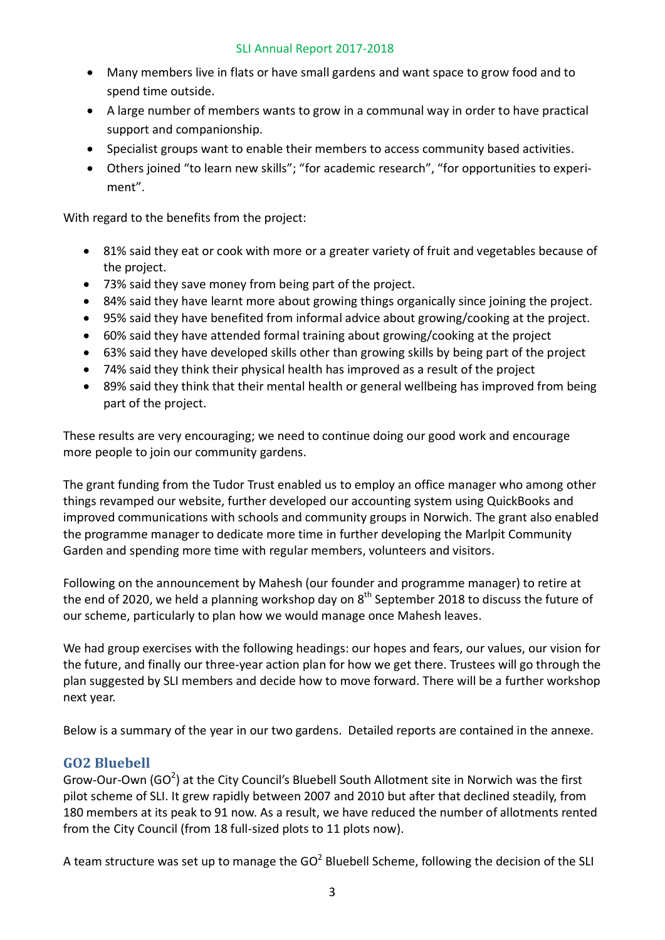- Many members live in flats or have small gardens and want space to grow food and to spend time outside.
- A large number of members wants to grow in a communal way in order to have practical support and companionship.
- Specialist groups want to enable their members to access community based activities.
- Others joined "to learn new skills"; "for academic research", "for opportunities to experiment".

With regard to the benefits from the project:

- 81% said they eat or cook with more or a greater variety of fruit and vegetables because of the project.
- 73% said they save money from being part of the project.
- 84% said they have learnt more about growing things organically since joining the project.
- 95% said they have benefited from informal advice about growing/cooking at the project.
- 60% said they have attended formal training about growing/cooking at the project
- 63% said they have developed skills other than growing skills by being part of the project
- 74% said they think their physical health has improved as a result of the project
- 89% said they think that their mental health or general wellbeing has improved from being part of the project.

These results are very encouraging; we need to continue doing our good work and encourage more people to join our community gardens.

The grant funding from the Tudor Trust enabled us to employ an office manager who among other things revamped our website, further developed our accounting system using QuickBooks and improved communications with schools and community groups in Norwich. The grant also enabled the programme manager to dedicate more time in further developing the Marlpit Community Garden and spending more time with regular members, volunteers and visitors.

Following on the announcement by Mahesh (our founder and programme manager) to retire at the end of 2020, we held a planning workshop day on  $8<sup>th</sup>$  September 2018 to discuss the future of our scheme, particularly to plan how we would manage once Mahesh leaves.

We had group exercises with the following headings: our hopes and fears, our values, our vision for the future, and finally our three-year action plan for how we get there. Trustees will go through the plan suggested by SLI members and decide how to move forward. There will be a further workshop next year.

Below is a summary of the year in our two gardens. Detailed reports are contained in the annexe.

# **GO2 Bluebell**

Grow-Our-Own (GO<sup>2</sup>) at the City Council's Bluebell South Allotment site in Norwich was the first pilot scheme of SLI. It grew rapidly between 2007 and 2010 but after that declined steadily, from 180 members at its peak to 91 now. As a result, we have reduced the number of allotments rented from the City Council (from 18 full-sized plots to 11 plots now).

A team structure was set up to manage the  $GO<sup>2</sup>$  Bluebell Scheme, following the decision of the SLI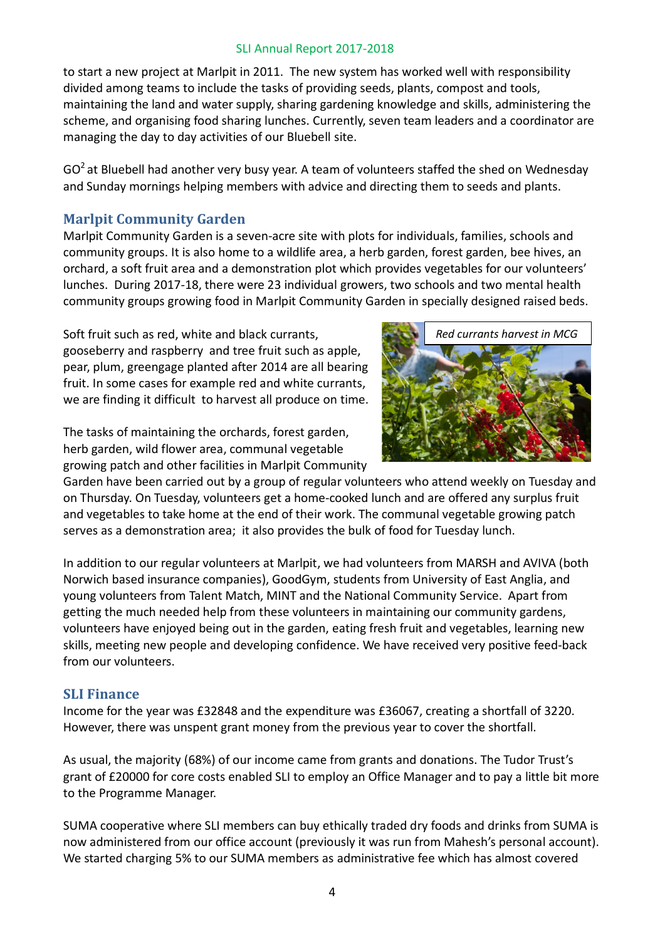to start a new project at Marlpit in 2011. The new system has worked well with responsibility divided among teams to include the tasks of providing seeds, plants, compost and tools, maintaining the land and water supply, sharing gardening knowledge and skills, administering the scheme, and organising food sharing lunches. Currently, seven team leaders and a coordinator are managing the day to day activities of our Bluebell site.

 $GO<sup>2</sup>$  at Bluebell had another very busy year. A team of volunteers staffed the shed on Wednesday and Sunday mornings helping members with advice and directing them to seeds and plants.

# **Marlpit Community Garden**

Marlpit Community Garden is a seven-acre site with plots for individuals, families, schools and community groups. It is also home to a wildlife area, a herb garden, forest garden, bee hives, an orchard, a soft fruit area and a demonstration plot which provides vegetables for our volunteers' lunches. During 2017-18, there were 23 individual growers, two schools and two mental health community groups growing food in Marlpit Community Garden in specially designed raised beds.

Soft fruit such as red, white and black currants, gooseberry and raspberry and tree fruit such as apple, pear, plum, greengage planted after 2014 are all bearing fruit. In some cases for example red and white currants, we are finding it difficult to harvest all produce on time.

The tasks of maintaining the orchards, forest garden, herb garden, wild flower area, communal vegetable growing patch and other facilities in Marlpit Community



Garden have been carried out by a group of regular volunteers who attend weekly on Tuesday and on Thursday. On Tuesday, volunteers get a home-cooked lunch and are offered any surplus fruit and vegetables to take home at the end of their work. The communal vegetable growing patch serves as a demonstration area; it also provides the bulk of food for Tuesday lunch.

In addition to our regular volunteers at Marlpit, we had volunteers from MARSH and AVIVA (both Norwich based insurance companies), GoodGym, students from University of East Anglia, and young volunteers from Talent Match, MINT and the National Community Service. Apart from getting the much needed help from these volunteers in maintaining our community gardens, volunteers have enjoyed being out in the garden, eating fresh fruit and vegetables, learning new skills, meeting new people and developing confidence. We have received very positive feed-back from our volunteers.

# **SLI Finance**

Income for the year was £32848 and the expenditure was £36067, creating a shortfall of 3220. However, there was unspent grant money from the previous year to cover the shortfall.

As usual, the majority (68%) of our income came from grants and donations. The Tudor Trust's grant of £20000 for core costs enabled SLI to employ an Office Manager and to pay a little bit more to the Programme Manager.

SUMA cooperative where SLI members can buy ethically traded dry foods and drinks from SUMA is now administered from our office account (previously it was run from Mahesh's personal account). We started charging 5% to our SUMA members as administrative fee which has almost covered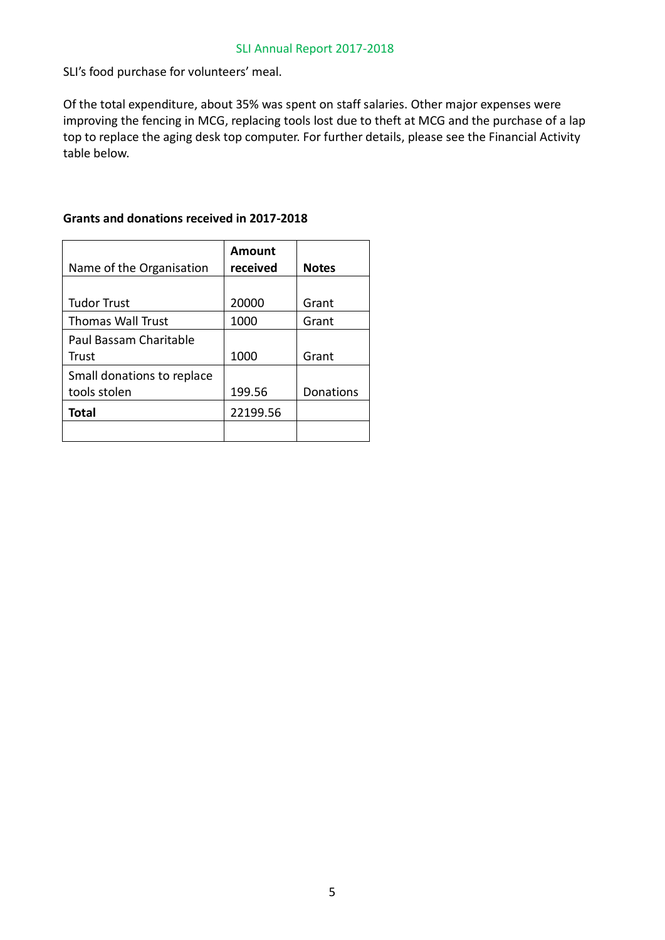SLI's food purchase for volunteers' meal.

Of the total expenditure, about 35% was spent on staff salaries. Other major expenses were improving the fencing in MCG, replacing tools lost due to theft at MCG and the purchase of a lap top to replace the aging desk top computer. For further details, please see the Financial Activity table below.

| Name of the Organisation   | Amount<br>received | <b>Notes</b> |
|----------------------------|--------------------|--------------|
|                            |                    |              |
| <b>Tudor Trust</b>         | 20000              | Grant        |
| <b>Thomas Wall Trust</b>   | 1000               | Grant        |
| Paul Bassam Charitable     |                    |              |
| Trust                      | 1000               | Grant        |
| Small donations to replace |                    |              |
| tools stolen               | 199.56             | Donations    |
| Total                      | 22199.56           |              |
|                            |                    |              |

# **Grants and donations received in 2017-2018**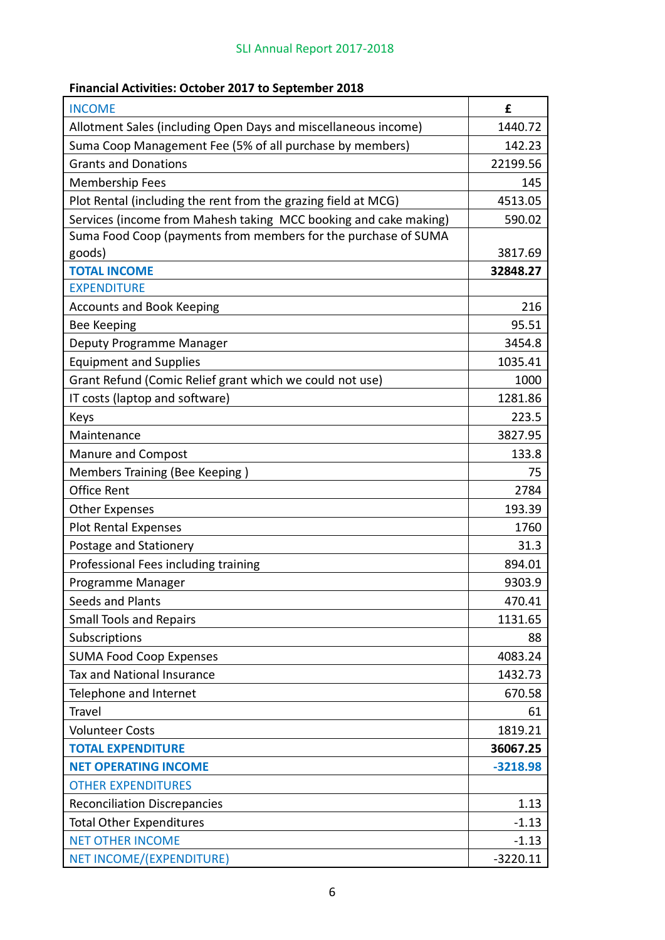# **Financial Activities: October 2017 to September 2018**

| <b>INCOME</b>                                                    | £          |
|------------------------------------------------------------------|------------|
| Allotment Sales (including Open Days and miscellaneous income)   | 1440.72    |
| Suma Coop Management Fee (5% of all purchase by members)         | 142.23     |
| <b>Grants and Donations</b>                                      | 22199.56   |
| <b>Membership Fees</b>                                           | 145        |
| Plot Rental (including the rent from the grazing field at MCG)   | 4513.05    |
| Services (income from Mahesh taking MCC booking and cake making) | 590.02     |
| Suma Food Coop (payments from members for the purchase of SUMA   |            |
| goods)                                                           | 3817.69    |
| <b>TOTAL INCOME</b>                                              | 32848.27   |
| <b>EXPENDITURE</b>                                               |            |
| <b>Accounts and Book Keeping</b>                                 | 216        |
| <b>Bee Keeping</b>                                               | 95.51      |
| Deputy Programme Manager                                         | 3454.8     |
| <b>Equipment and Supplies</b>                                    | 1035.41    |
| Grant Refund (Comic Relief grant which we could not use)         | 1000       |
| IT costs (laptop and software)                                   | 1281.86    |
| Keys                                                             | 223.5      |
| Maintenance                                                      | 3827.95    |
| <b>Manure and Compost</b>                                        | 133.8      |
| Members Training (Bee Keeping)                                   | 75         |
| <b>Office Rent</b>                                               | 2784       |
| <b>Other Expenses</b>                                            | 193.39     |
| <b>Plot Rental Expenses</b>                                      | 1760       |
| Postage and Stationery                                           | 31.3       |
| Professional Fees including training                             | 894.01     |
| Programme Manager                                                | 9303.9     |
| <b>Seeds and Plants</b>                                          | 470.41     |
| <b>Small Tools and Repairs</b>                                   | 1131.65    |
| Subscriptions                                                    | 88         |
| <b>SUMA Food Coop Expenses</b>                                   | 4083.24    |
| Tax and National Insurance                                       | 1432.73    |
| Telephone and Internet                                           | 670.58     |
| <b>Travel</b>                                                    | 61         |
| <b>Volunteer Costs</b>                                           | 1819.21    |
| <b>TOTAL EXPENDITURE</b>                                         | 36067.25   |
| <b>NET OPERATING INCOME</b>                                      | $-3218.98$ |
| <b>OTHER EXPENDITURES</b>                                        |            |
| <b>Reconciliation Discrepancies</b>                              | 1.13       |
| <b>Total Other Expenditures</b>                                  | $-1.13$    |
| <b>NET OTHER INCOME</b>                                          | $-1.13$    |
| <b>NET INCOME/(EXPENDITURE)</b>                                  | $-3220.11$ |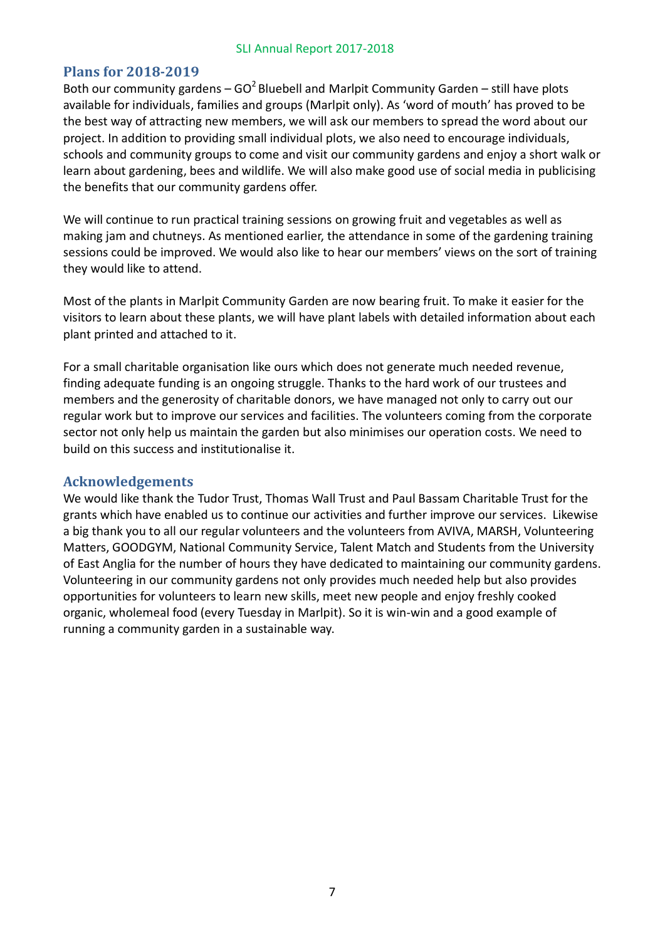# **Plans for 2018-2019**

Both our community gardens –  $GO^2$  Bluebell and Marlpit Community Garden – still have plots available for individuals, families and groups (Marlpit only). As 'word of mouth' has proved to be the best way of attracting new members, we will ask our members to spread the word about our project. In addition to providing small individual plots, we also need to encourage individuals, schools and community groups to come and visit our community gardens and enjoy a short walk or learn about gardening, bees and wildlife. We will also make good use of social media in publicising the benefits that our community gardens offer.

We will continue to run practical training sessions on growing fruit and vegetables as well as making jam and chutneys. As mentioned earlier, the attendance in some of the gardening training sessions could be improved. We would also like to hear our members' views on the sort of training they would like to attend.

Most of the plants in Marlpit Community Garden are now bearing fruit. To make it easier for the visitors to learn about these plants, we will have plant labels with detailed information about each plant printed and attached to it.

For a small charitable organisation like ours which does not generate much needed revenue, finding adequate funding is an ongoing struggle. Thanks to the hard work of our trustees and members and the generosity of charitable donors, we have managed not only to carry out our regular work but to improve our services and facilities. The volunteers coming from the corporate sector not only help us maintain the garden but also minimises our operation costs. We need to build on this success and institutionalise it.

# **Acknowledgements**

We would like thank the Tudor Trust, Thomas Wall Trust and Paul Bassam Charitable Trust for the grants which have enabled us to continue our activities and further improve our services. Likewise a big thank you to all our regular volunteers and the volunteers from AVIVA, MARSH, Volunteering Matters, GOODGYM, National Community Service, Talent Match and Students from the University of East Anglia for the number of hours they have dedicated to maintaining our community gardens. Volunteering in our community gardens not only provides much needed help but also provides opportunities for volunteers to learn new skills, meet new people and enjoy freshly cooked organic, wholemeal food (every Tuesday in Marlpit). So it is win-win and a good example of running a community garden in a sustainable way.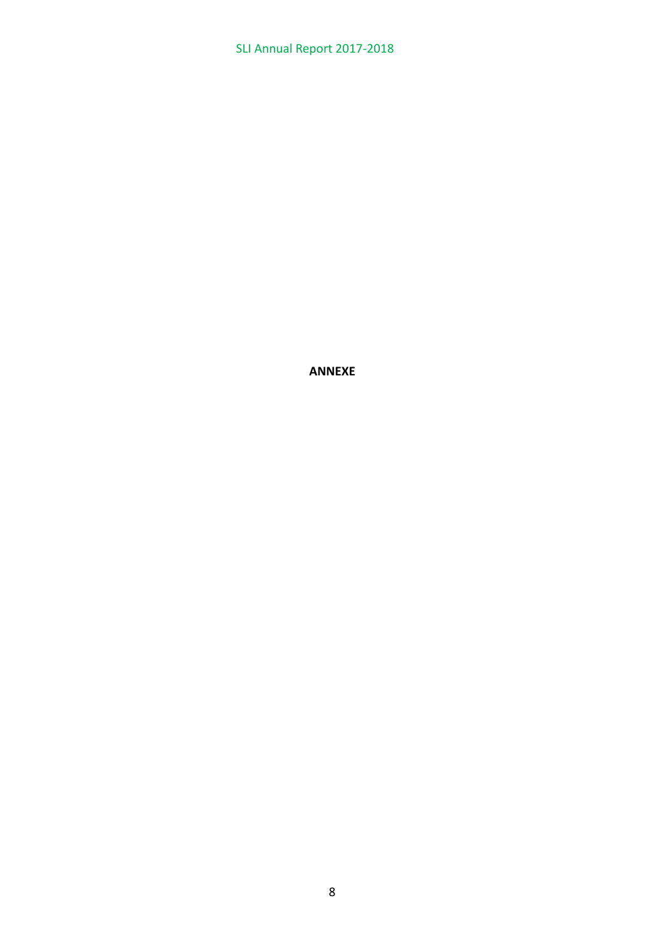**ANNEXE**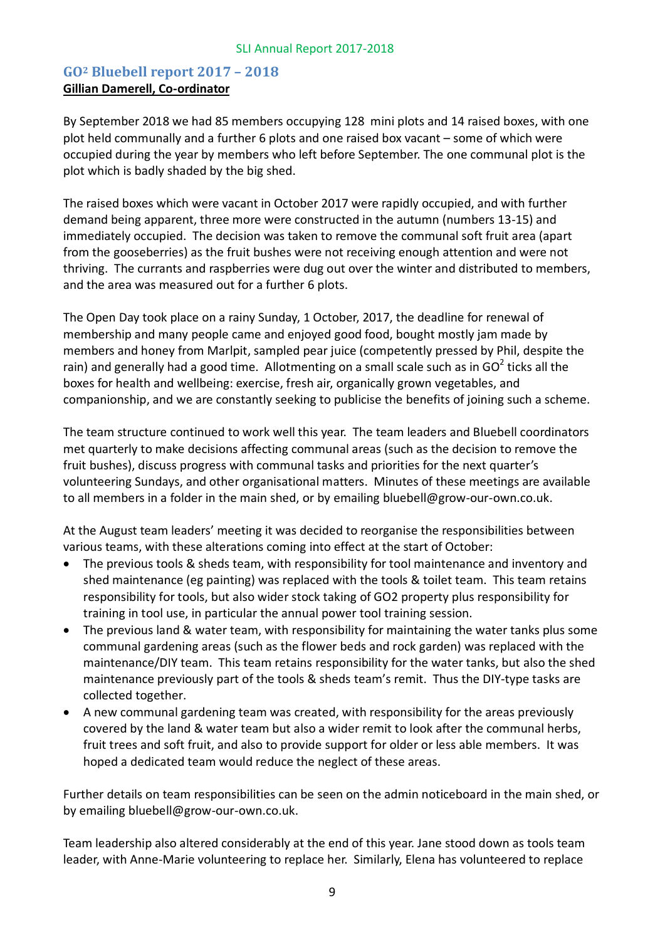# **GO2 Bluebell report 2017 – 2018 Gillian Damerell, Co-ordinator**

By September 2018 we had 85 members occupying 128 mini plots and 14 raised boxes, with one plot held communally and a further 6 plots and one raised box vacant – some of which were occupied during the year by members who left before September. The one communal plot is the plot which is badly shaded by the big shed.

The raised boxes which were vacant in October 2017 were rapidly occupied, and with further demand being apparent, three more were constructed in the autumn (numbers 13-15) and immediately occupied. The decision was taken to remove the communal soft fruit area (apart from the gooseberries) as the fruit bushes were not receiving enough attention and were not thriving. The currants and raspberries were dug out over the winter and distributed to members, and the area was measured out for a further 6 plots.

The Open Day took place on a rainy Sunday, 1 October, 2017, the deadline for renewal of membership and many people came and enjoyed good food, bought mostly jam made by members and honey from Marlpit, sampled pear juice (competently pressed by Phil, despite the rain) and generally had a good time. Allotmenting on a small scale such as in GO<sup>2</sup> ticks all the boxes for health and wellbeing: exercise, fresh air, organically grown vegetables, and companionship, and we are constantly seeking to publicise the benefits of joining such a scheme.

The team structure continued to work well this year. The team leaders and Bluebell coordinators met quarterly to make decisions affecting communal areas (such as the decision to remove the fruit bushes), discuss progress with communal tasks and priorities for the next quarter's volunteering Sundays, and other organisational matters. Minutes of these meetings are available to all members in a folder in the main shed, or by emailing bluebell@grow-our-own.co.uk.

At the August team leaders' meeting it was decided to reorganise the responsibilities between various teams, with these alterations coming into effect at the start of October:

- The previous tools & sheds team, with responsibility for tool maintenance and inventory and shed maintenance (eg painting) was replaced with the tools & toilet team. This team retains responsibility for tools, but also wider stock taking of GO2 property plus responsibility for training in tool use, in particular the annual power tool training session.
- The previous land & water team, with responsibility for maintaining the water tanks plus some communal gardening areas (such as the flower beds and rock garden) was replaced with the maintenance/DIY team. This team retains responsibility for the water tanks, but also the shed maintenance previously part of the tools & sheds team's remit. Thus the DIY-type tasks are collected together.
- A new communal gardening team was created, with responsibility for the areas previously covered by the land & water team but also a wider remit to look after the communal herbs, fruit trees and soft fruit, and also to provide support for older or less able members. It was hoped a dedicated team would reduce the neglect of these areas.

Further details on team responsibilities can be seen on the admin noticeboard in the main shed, or by emailing bluebell@grow-our-own.co.uk.

Team leadership also altered considerably at the end of this year. Jane stood down as tools team leader, with Anne-Marie volunteering to replace her. Similarly, Elena has volunteered to replace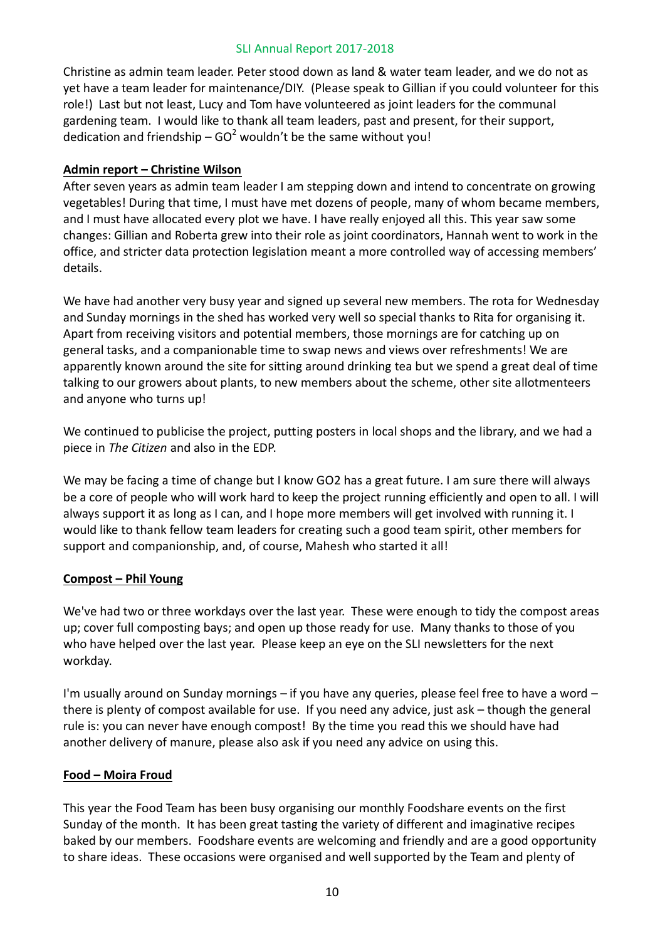Christine as admin team leader. Peter stood down as land & water team leader, and we do not as yet have a team leader for maintenance/DIY. (Please speak to Gillian if you could volunteer for this role!) Last but not least, Lucy and Tom have volunteered as joint leaders for the communal gardening team. I would like to thank all team leaders, past and present, for their support, dedication and friendship –  $GO^2$  wouldn't be the same without you!

# **Admin report – Christine Wilson**

After seven years as admin team leader I am stepping down and intend to concentrate on growing vegetables! During that time, I must have met dozens of people, many of whom became members, and I must have allocated every plot we have. I have really enjoyed all this. This year saw some changes: Gillian and Roberta grew into their role as joint coordinators, Hannah went to work in the office, and stricter data protection legislation meant a more controlled way of accessing members' details.

We have had another very busy year and signed up several new members. The rota for Wednesday and Sunday mornings in the shed has worked very well so special thanks to Rita for organising it. Apart from receiving visitors and potential members, those mornings are for catching up on general tasks, and a companionable time to swap news and views over refreshments! We are apparently known around the site for sitting around drinking tea but we spend a great deal of time talking to our growers about plants, to new members about the scheme, other site allotmenteers and anyone who turns up!

We continued to publicise the project, putting posters in local shops and the library, and we had a piece in *The Citizen* and also in the EDP.

We may be facing a time of change but I know GO2 has a great future. I am sure there will always be a core of people who will work hard to keep the project running efficiently and open to all. I will always support it as long as I can, and I hope more members will get involved with running it. I would like to thank fellow team leaders for creating such a good team spirit, other members for support and companionship, and, of course, Mahesh who started it all!

# **Compost – Phil Young**

We've had two or three workdays over the last year. These were enough to tidy the compost areas up; cover full composting bays; and open up those ready for use. Many thanks to those of you who have helped over the last year. Please keep an eye on the SLI newsletters for the next workday.

I'm usually around on Sunday mornings – if you have any queries, please feel free to have a word – there is plenty of compost available for use. If you need any advice, just ask – though the general rule is: you can never have enough compost! By the time you read this we should have had another delivery of manure, please also ask if you need any advice on using this.

# **Food – Moira Froud**

This year the Food Team has been busy organising our monthly Foodshare events on the first Sunday of the month. It has been great tasting the variety of different and imaginative recipes baked by our members. Foodshare events are welcoming and friendly and are a good opportunity to share ideas. These occasions were organised and well supported by the Team and plenty of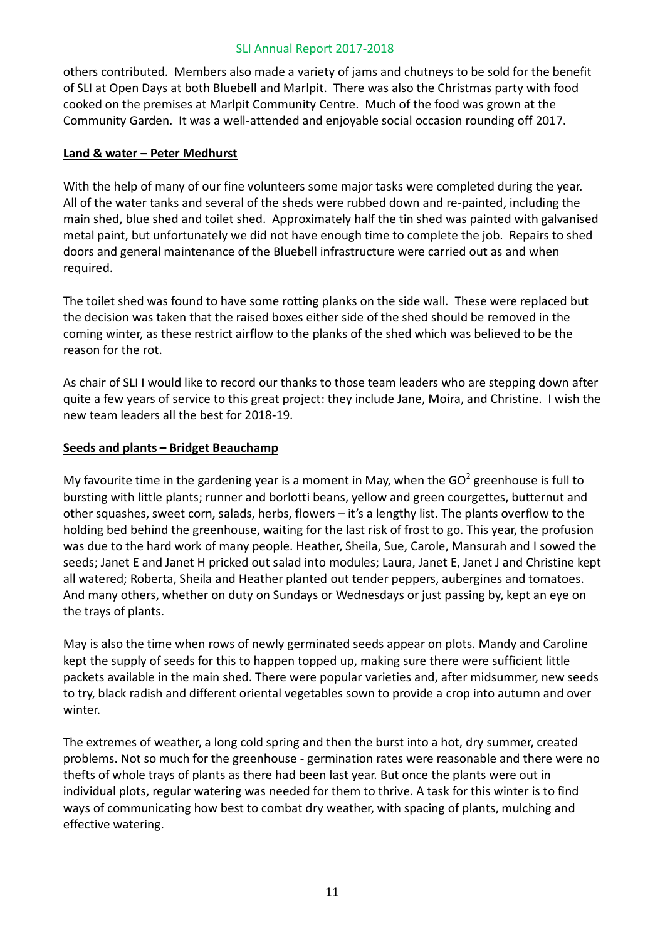others contributed. Members also made a variety of jams and chutneys to be sold for the benefit of SLI at Open Days at both Bluebell and Marlpit. There was also the Christmas party with food cooked on the premises at Marlpit Community Centre. Much of the food was grown at the Community Garden. It was a well-attended and enjoyable social occasion rounding off 2017.

#### **Land & water – Peter Medhurst**

With the help of many of our fine volunteers some major tasks were completed during the year. All of the water tanks and several of the sheds were rubbed down and re-painted, including the main shed, blue shed and toilet shed. Approximately half the tin shed was painted with galvanised metal paint, but unfortunately we did not have enough time to complete the job. Repairs to shed doors and general maintenance of the Bluebell infrastructure were carried out as and when required.

The toilet shed was found to have some rotting planks on the side wall. These were replaced but the decision was taken that the raised boxes either side of the shed should be removed in the coming winter, as these restrict airflow to the planks of the shed which was believed to be the reason for the rot.

As chair of SLI I would like to record our thanks to those team leaders who are stepping down after quite a few years of service to this great project: they include Jane, Moira, and Christine. I wish the new team leaders all the best for 2018-19.

#### **Seeds and plants – Bridget Beauchamp**

My favourite time in the gardening year is a moment in May, when the  $GO<sup>2</sup>$  greenhouse is full to bursting with little plants; runner and borlotti beans, yellow and green courgettes, butternut and other squashes, sweet corn, salads, herbs, flowers – it's a lengthy list. The plants overflow to the holding bed behind the greenhouse, waiting for the last risk of frost to go. This year, the profusion was due to the hard work of many people. Heather, Sheila, Sue, Carole, Mansurah and I sowed the seeds; Janet E and Janet H pricked out salad into modules; Laura, Janet E, Janet J and Christine kept all watered; Roberta, Sheila and Heather planted out tender peppers, aubergines and tomatoes. And many others, whether on duty on Sundays or Wednesdays or just passing by, kept an eye on the trays of plants.

May is also the time when rows of newly germinated seeds appear on plots. Mandy and Caroline kept the supply of seeds for this to happen topped up, making sure there were sufficient little packets available in the main shed. There were popular varieties and, after midsummer, new seeds to try, black radish and different oriental vegetables sown to provide a crop into autumn and over winter.

The extremes of weather, a long cold spring and then the burst into a hot, dry summer, created problems. Not so much for the greenhouse - germination rates were reasonable and there were no thefts of whole trays of plants as there had been last year. But once the plants were out in individual plots, regular watering was needed for them to thrive. A task for this winter is to find ways of communicating how best to combat dry weather, with spacing of plants, mulching and effective watering.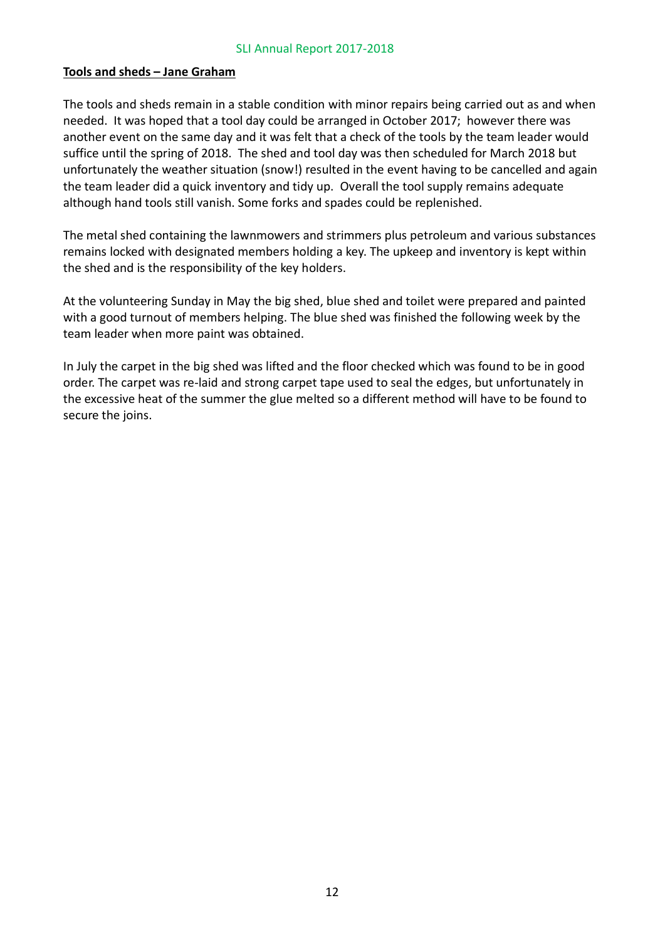#### **Tools and sheds – Jane Graham**

The tools and sheds remain in a stable condition with minor repairs being carried out as and when needed. It was hoped that a tool day could be arranged in October 2017; however there was another event on the same day and it was felt that a check of the tools by the team leader would suffice until the spring of 2018. The shed and tool day was then scheduled for March 2018 but unfortunately the weather situation (snow!) resulted in the event having to be cancelled and again the team leader did a quick inventory and tidy up. Overall the tool supply remains adequate although hand tools still vanish. Some forks and spades could be replenished.

The metal shed containing the lawnmowers and strimmers plus petroleum and various substances remains locked with designated members holding a key. The upkeep and inventory is kept within the shed and is the responsibility of the key holders.

At the volunteering Sunday in May the big shed, blue shed and toilet were prepared and painted with a good turnout of members helping. The blue shed was finished the following week by the team leader when more paint was obtained.

In July the carpet in the big shed was lifted and the floor checked which was found to be in good order. The carpet was re-laid and strong carpet tape used to seal the edges, but unfortunately in the excessive heat of the summer the glue melted so a different method will have to be found to secure the joins.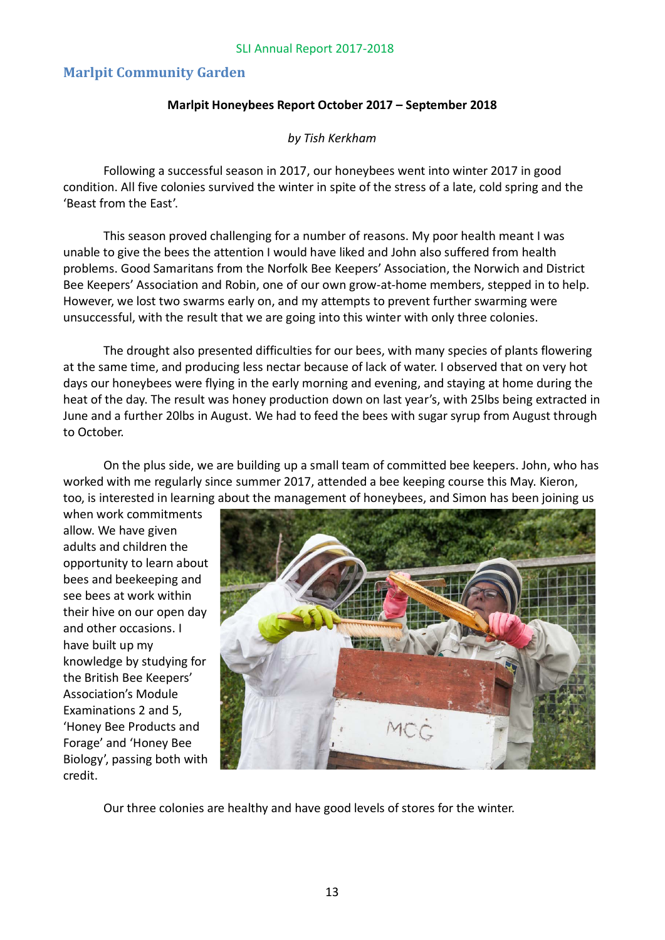# **Marlpit Community Garden**

#### **Marlpit Honeybees Report October 2017 – September 2018**

*by Tish Kerkham*

Following a successful season in 2017, our honeybees went into winter 2017 in good condition. All five colonies survived the winter in spite of the stress of a late, cold spring and the 'Beast from the East'.

This season proved challenging for a number of reasons. My poor health meant I was unable to give the bees the attention I would have liked and John also suffered from health problems. Good Samaritans from the Norfolk Bee Keepers' Association, the Norwich and District Bee Keepers' Association and Robin, one of our own grow-at-home members, stepped in to help. However, we lost two swarms early on, and my attempts to prevent further swarming were unsuccessful, with the result that we are going into this winter with only three colonies.

The drought also presented difficulties for our bees, with many species of plants flowering at the same time, and producing less nectar because of lack of water. I observed that on very hot days our honeybees were flying in the early morning and evening, and staying at home during the heat of the day. The result was honey production down on last year's, with 25lbs being extracted in June and a further 20lbs in August. We had to feed the bees with sugar syrup from August through to October.

On the plus side, we are building up a small team of committed bee keepers. John, who has worked with me regularly since summer 2017, attended a bee keeping course this May. Kieron, too, is interested in learning about the management of honeybees, and Simon has been joining us

when work commitments allow. We have given adults and children the opportunity to learn about bees and beekeeping and see bees at work within their hive on our open day and other occasions. I have built up my knowledge by studying for the British Bee Keepers' Association's Module Examinations 2 and 5, 'Honey Bee Products and Forage' and 'Honey Bee Biology', passing both with credit.



Our three colonies are healthy and have good levels of stores for the winter.